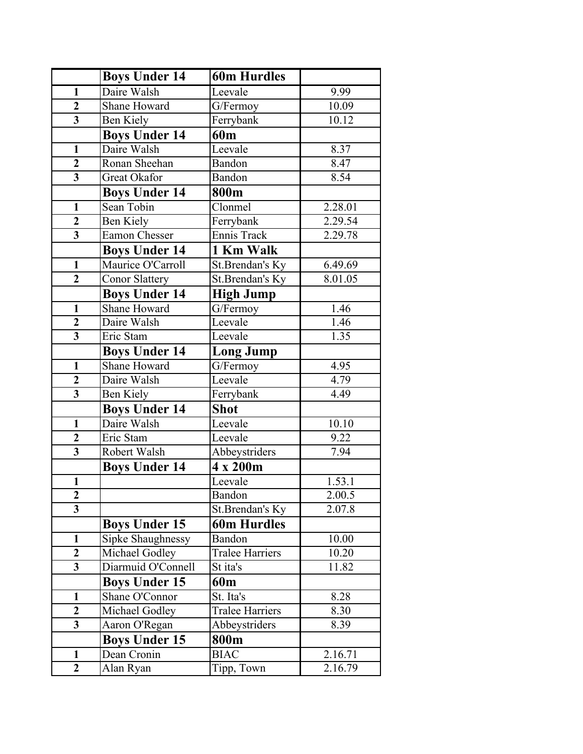|                         | <b>Boys Under 14</b>  | <b>60m Hurdles</b>     |         |
|-------------------------|-----------------------|------------------------|---------|
| $\mathbf{1}$            | Daire Walsh           | Leevale                | 9.99    |
| $\overline{2}$          | <b>Shane Howard</b>   | G/Fermoy               | 10.09   |
| $\overline{3}$          | <b>Ben Kiely</b>      | Ferrybank              | 10.12   |
|                         | <b>Boys Under 14</b>  | 60 <sub>m</sub>        |         |
| $\mathbf{1}$            | Daire Walsh           | Leevale                | 8.37    |
| $\overline{2}$          | Ronan Sheehan         | Bandon                 | 8.47    |
| $\overline{\mathbf{3}}$ | Great Okafor          | Bandon                 | 8.54    |
|                         | <b>Boys Under 14</b>  | 800m                   |         |
| $\mathbf{1}$            | Sean Tobin            | Clonmel                | 2.28.01 |
| $\mathbf{2}$            | Ben Kiely             | Ferrybank              | 2.29.54 |
| $\overline{3}$          | <b>Eamon Chesser</b>  | Ennis Track            | 2.29.78 |
|                         | <b>Boys Under 14</b>  | 1 Km Walk              |         |
| $\mathbf{1}$            | Maurice O'Carroll     | St.Brendan's Ky        | 6.49.69 |
| $\overline{2}$          | <b>Conor Slattery</b> | St.Brendan's Ky        | 8.01.05 |
|                         | <b>Boys Under 14</b>  | <b>High Jump</b>       |         |
| $\mathbf{1}$            | <b>Shane Howard</b>   | G/Fermoy               | 1.46    |
| $\overline{2}$          | Daire Walsh           | Leevale                | 1.46    |
| $\overline{\mathbf{3}}$ | Eric Stam             | Leevale                | 1.35    |
|                         | <b>Boys Under 14</b>  | Long Jump              |         |
| $\mathbf{1}$            | Shane Howard          | G/Fermoy               | 4.95    |
| $\overline{2}$          | Daire Walsh           | Leevale                | 4.79    |
| $\overline{3}$          | Ben Kiely             | Ferrybank              | 4.49    |
|                         | <b>Boys Under 14</b>  | <b>Shot</b>            |         |
| $\mathbf{1}$            | Daire Walsh           | Leevale                | 10.10   |
| $\overline{2}$          | Eric Stam             | Leevale                | 9.22    |
| $\overline{\mathbf{3}}$ | Robert Walsh          | Abbeystriders          | 7.94    |
|                         | <b>Boys Under 14</b>  | 4 x 200m               |         |
| $\mathbf{1}$            |                       | Leevale                | 1.53.1  |
| $\boldsymbol{2}$        |                       | Bandon                 | 2.00.5  |
| $\overline{3}$          |                       | St.Brendan's Ky        | 2.07.8  |
|                         | <b>Boys Under 15</b>  | <b>60m Hurdles</b>     |         |
| $\mathbf{1}$            | Sipke Shaughnessy     | Bandon                 | 10.00   |
| $\boldsymbol{2}$        | Michael Godley        | <b>Tralee Harriers</b> | 10.20   |
| $\overline{\mathbf{3}}$ | Diarmuid O'Connell    | St ita's               | 11.82   |
|                         | <b>Boys Under 15</b>  | 60 <sub>m</sub>        |         |
| $\mathbf{1}$            | Shane O'Connor        | St. Ita's              | 8.28    |
| $\overline{2}$          | Michael Godley        | <b>Tralee Harriers</b> | 8.30    |
| $\overline{\mathbf{3}}$ | Aaron O'Regan         | Abbeystriders          | 8.39    |
|                         | <b>Boys Under 15</b>  | 800m                   |         |
| $\mathbf{1}$            | Dean Cronin           | <b>BIAC</b>            | 2.16.71 |
| $\overline{2}$          | Alan Ryan             | Tipp, Town             | 2.16.79 |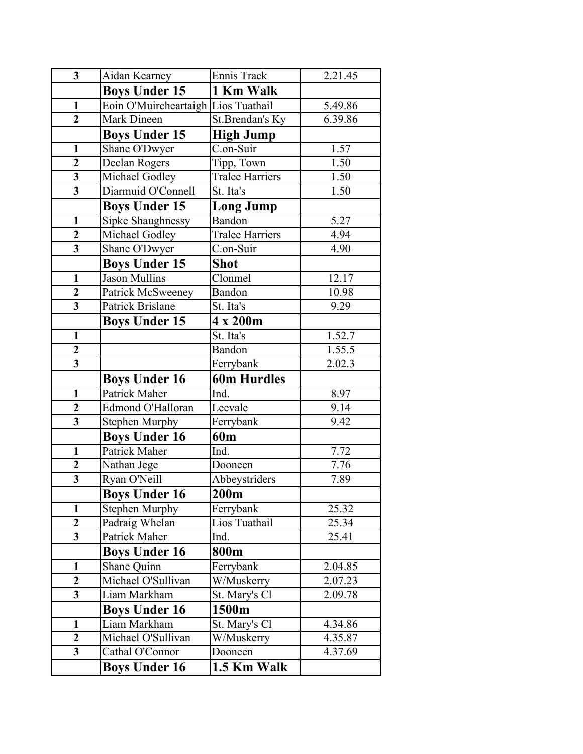| $\overline{\mathbf{3}}$ | Aidan Kearney                           | Ennis Track            | 2.21.45 |
|-------------------------|-----------------------------------------|------------------------|---------|
|                         | <b>Boys Under 15</b>                    | 1 Km Walk              |         |
| $\mathbf{1}$            | Eoin O'Muircheartaigh Lios Tuathail     |                        | 5.49.86 |
| $\overline{2}$          | Mark Dineen                             | St.Brendan's Ky        | 6.39.86 |
|                         | <b>Boys Under 15</b>                    | <b>High Jump</b>       |         |
| $\mathbf{1}$            | Shane O'Dwyer                           | C.on-Suir              | 1.57    |
| $\overline{2}$          | Declan Rogers                           | Tipp, Town             | 1.50    |
| $\overline{\mathbf{3}}$ | Michael Godley                          | <b>Tralee Harriers</b> | 1.50    |
| $\overline{\mathbf{3}}$ | Diarmuid O'Connell                      | St. Ita's              | 1.50    |
|                         | <b>Boys Under 15</b>                    | <b>Long Jump</b>       |         |
| $\mathbf{1}$            | Sipke Shaughnessy                       | Bandon                 | 5.27    |
| $\boldsymbol{2}$        | Michael Godley                          | <b>Tralee Harriers</b> | 4.94    |
| $\overline{\mathbf{3}}$ | Shane O'Dwyer                           | C.on-Suir              | 4.90    |
|                         | <b>Boys Under 15</b>                    | <b>Shot</b>            |         |
| $\mathbf{1}$            | Jason Mullins                           | Clonmel                | 12.17   |
| $\mathbf{2}$            | Patrick McSweeney                       | Bandon                 | 10.98   |
| $\overline{\mathbf{3}}$ | <b>Patrick Brislane</b>                 | St. Ita's              | 9.29    |
|                         | <b>Boys Under 15</b>                    | 4 x 200m               |         |
| $\mathbf{1}$            |                                         | St. Ita's              | 1.52.7  |
| $\overline{2}$          |                                         | Bandon                 | 1.55.5  |
| $\overline{\mathbf{3}}$ |                                         | Ferrybank              | 2.02.3  |
|                         |                                         |                        |         |
|                         | <b>Boys Under 16</b>                    | <b>60m Hurdles</b>     |         |
| $\mathbf{1}$            | Patrick Maher                           | Ind.                   | 8.97    |
| $\boldsymbol{2}$        | Edmond O'Halloran                       | Leevale                | 9.14    |
| $\overline{\mathbf{3}}$ | <b>Stephen Murphy</b>                   | Ferrybank              | 9.42    |
|                         | <b>Boys Under 16</b>                    | 60 <sub>m</sub>        |         |
| $\mathbf{1}$            | <b>Patrick Maher</b>                    | Ind.                   | 7.72    |
| $\overline{2}$          | Nathan Jege                             | Dooneen                | 7.76    |
| $\overline{\mathbf{3}}$ | Ryan O'Neill                            | Abbeystriders          | 7.89    |
|                         | <b>Boys Under 16</b>                    | 200 <sub>m</sub>       |         |
| 1                       | <b>Stephen Murphy</b>                   | Ferrybank              | 25.32   |
| $\overline{2}$          | Padraig Whelan                          | Lios Tuathail          | 25.34   |
| $\overline{\mathbf{3}}$ | Patrick Maher                           | Ind.                   | 25.41   |
|                         | <b>Boys Under 16</b>                    | 800m                   |         |
| 1                       | Shane Quinn                             | Ferrybank              | 2.04.85 |
| $\overline{2}$          | Michael O'Sullivan                      | W/Muskerry             | 2.07.23 |
| $\overline{\mathbf{3}}$ | Liam Markham                            | St. Mary's Cl          | 2.09.78 |
|                         | <b>Boys Under 16</b>                    | 1500m                  |         |
| $\mathbf{1}$            | Liam Markham                            | St. Mary's Cl          | 4.34.86 |
| $\mathbf{2}$            | Michael O'Sullivan                      | W/Muskerry             | 4.35.87 |
| $\overline{\mathbf{3}}$ | Cathal O'Connor<br><b>Boys Under 16</b> | Dooneen                | 4.37.69 |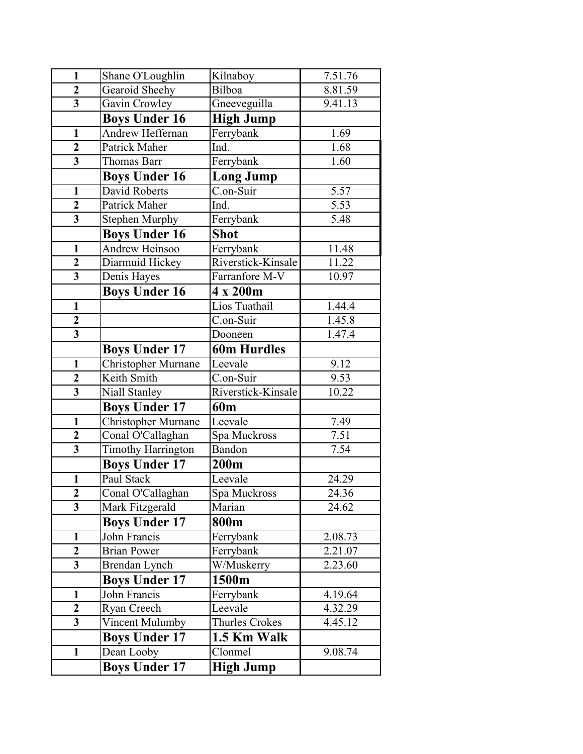| $\mathbf{1}$            | Shane O'Loughlin           | Kilnaboy           | 7.51.76 |
|-------------------------|----------------------------|--------------------|---------|
| $\boldsymbol{2}$        | Gearoid Sheehy             | Bilboa             | 8.81.59 |
| $\overline{\mathbf{3}}$ | Gavin Crowley              | Gneeveguilla       | 9.41.13 |
|                         | <b>Boys Under 16</b>       | <b>High Jump</b>   |         |
| $\mathbf{1}$            | Andrew Heffernan           | Ferrybank          | 1.69    |
| $\overline{2}$          | Patrick Maher              | Ind.               | 1.68    |
| $\overline{\mathbf{3}}$ | Thomas Barr                | Ferrybank          | 1.60    |
|                         | <b>Boys Under 16</b>       | <b>Long Jump</b>   |         |
| $\mathbf{1}$            | David Roberts              | C.on-Suir          | 5.57    |
| $\overline{2}$          | Patrick Maher              | Ind.               | 5.53    |
| $\overline{\mathbf{3}}$ | <b>Stephen Murphy</b>      | Ferrybank          | 5.48    |
|                         | <b>Boys Under 16</b>       | <b>Shot</b>        |         |
| $\mathbf{1}$            | Andrew Heinsoo             | Ferrybank          | 11.48   |
| $\overline{2}$          | Diarmuid Hickey            | Riverstick-Kinsale | 11.22   |
| $\overline{\mathbf{3}}$ | Denis Hayes                | Farranfore M-V     | 10.97   |
|                         | <b>Boys Under 16</b>       | 4 x 200m           |         |
| $\mathbf{1}$            |                            | Lios Tuathail      | 1.44.4  |
| $\mathbf{2}$            |                            | C.on-Suir          | 1.45.8  |
| $\overline{\mathbf{3}}$ |                            | Dooneen            | 1.47.4  |
|                         | <b>Boys Under 17</b>       | <b>60m Hurdles</b> |         |
| $\mathbf{1}$            | <b>Christopher Murnane</b> | Leevale            | 9.12    |
| $\overline{2}$          | Keith Smith                | C.on-Suir          | 9.53    |
| $\overline{\mathbf{3}}$ | Niall Stanley              | Riverstick-Kinsale | 10.22   |
|                         | <b>Boys Under 17</b>       | 60 <sub>m</sub>    |         |
| $\mathbf{1}$            | Christopher Murnane        | Leevale            | 7.49    |
| $\overline{2}$          | Conal O'Callaghan          | Spa Muckross       | 7.51    |
| $\overline{\mathbf{3}}$ | <b>Timothy Harrington</b>  | <b>Bandon</b>      | 7.54    |
|                         | <b>Boys Under 17</b>       | 200m               |         |
| $\mathbf{1}$            | Paul Stack                 | Leevale            | 24.29   |
| $\overline{2}$          | Conal O'Callaghan          | Spa Muckross       | 24.36   |
| 3                       | Mark Fitzgerald            | Marian             | 24.62   |
|                         | <b>Boys Under 17</b>       | 800m               |         |
| 1                       | John Francis               | Ferrybank          | 2.08.73 |
| $\overline{2}$          | <b>Brian Power</b>         | Ferrybank          | 2.21.07 |
| $\overline{\mathbf{3}}$ | Brendan Lynch              | W/Muskerry         | 2.23.60 |
|                         | <b>Boys Under 17</b>       | 1500m              |         |
| 1                       | John Francis               | Ferrybank          | 4.19.64 |
| $\overline{2}$          | Ryan Creech                | Leevale            | 4.32.29 |
| $\overline{\mathbf{3}}$ | Vincent Mulumby            | Thurles Crokes     | 4.45.12 |
|                         | <b>Boys Under 17</b>       | 1.5 Km Walk        |         |
| $\mathbf{1}$            | Dean Looby                 | Clonmel            | 9.08.74 |
|                         | <b>Boys Under 17</b>       | <b>High Jump</b>   |         |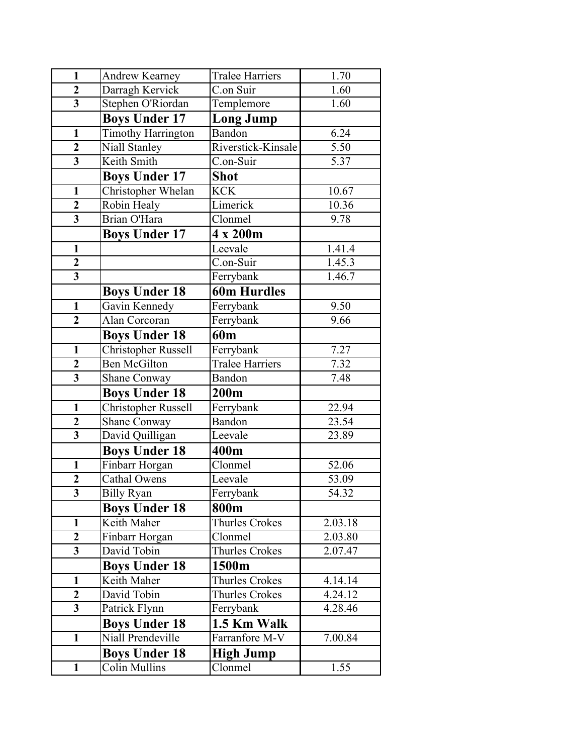| $\mathbf{1}$            | Andrew Kearney             | Tralee Harriers        | 1.70    |
|-------------------------|----------------------------|------------------------|---------|
| $\overline{2}$          | Darragh Kervick            | C.on Suir              | 1.60    |
| $\overline{\mathbf{3}}$ | Stephen O'Riordan          | Templemore             | 1.60    |
|                         | <b>Boys Under 17</b>       | <b>Long Jump</b>       |         |
| $\mathbf{1}$            | <b>Timothy Harrington</b>  | Bandon                 | 6.24    |
| $\mathbf{2}$            | Niall Stanley              | Riverstick-Kinsale     | 5.50    |
| $\overline{\mathbf{3}}$ | Keith Smith                | C.on-Suir              | 5.37    |
|                         | <b>Boys Under 17</b>       | Shot                   |         |
| $\mathbf{1}$            | Christopher Whelan         | <b>KCK</b>             | 10.67   |
| $\overline{2}$          | Robin Healy                | Limerick               | 10.36   |
| $\overline{\mathbf{3}}$ | Brian O'Hara               | Clonmel                | 9.78    |
|                         | <b>Boys Under 17</b>       | 4 x 200m               |         |
| $\mathbf{1}$            |                            | Leevale                | 1.41.4  |
| $\overline{2}$          |                            | C.on-Suir              | 1.45.3  |
| $\overline{\mathbf{3}}$ |                            | Ferrybank              | 1.46.7  |
|                         | <b>Boys Under 18</b>       | <b>60m Hurdles</b>     |         |
| $\mathbf{1}$            | Gavin Kennedy              | Ferrybank              | 9.50    |
| $\overline{2}$          | Alan Corcoran              | Ferrybank              | 9.66    |
|                         | <b>Boys Under 18</b>       | 60 <sub>m</sub>        |         |
| $\mathbf{1}$            | <b>Christopher Russell</b> | Ferrybank              | 7.27    |
| $\overline{2}$          | <b>Ben McGilton</b>        | <b>Tralee Harriers</b> | 7.32    |
| $\overline{\mathbf{3}}$ | Shane Conway               | Bandon                 | 7.48    |
|                         | <b>Boys Under 18</b>       | 200m                   |         |
| $\mathbf{1}$            | <b>Christopher Russell</b> | Ferrybank              | 22.94   |
| $\boldsymbol{2}$        | <b>Shane Conway</b>        | Bandon                 | 23.54   |
| $\overline{\mathbf{3}}$ | David Quilligan            | Leevale                | 23.89   |
|                         | <b>Boys Under 18</b>       | 400m                   |         |
| $\mathbf{1}$            | Finbarr Horgan             | Clonmel                | 52.06   |
| $\overline{2}$          | <b>Cathal Owens</b>        | Leevale                | 53.09   |
| 3                       | Billy Ryan                 | Ferrybank              | 54.32   |
|                         | <b>Boys Under 18</b>       | 800m                   |         |
| $\mathbf{1}$            | Keith Maher                | Thurles Crokes         | 2.03.18 |
| $\overline{2}$          | Finbarr Horgan             | Clonmel                | 2.03.80 |
| $\overline{\mathbf{3}}$ | David Tobin                | Thurles Crokes         | 2.07.47 |
|                         | <b>Boys Under 18</b>       | 1500m                  |         |
| $\mathbf{1}$            | Keith Maher                | Thurles Crokes         | 4.14.14 |
| $\mathbf{2}$            | David Tobin                | <b>Thurles Crokes</b>  | 4.24.12 |
| 3                       | Patrick Flynn              | Ferrybank              | 4.28.46 |
|                         | <b>Boys Under 18</b>       | 1.5 Km Walk            |         |
| $\mathbf{1}$            | Niall Prendeville          | Farranfore M-V         | 7.00.84 |
|                         | <b>Boys Under 18</b>       | <b>High Jump</b>       |         |
| $\mathbf{1}$            | Colin Mullins              | Clonmel                | 1.55    |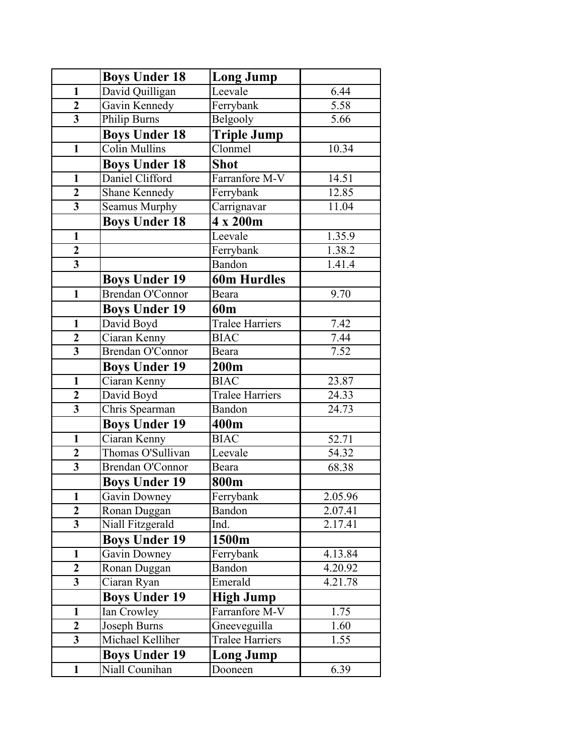|                         | <b>Boys Under 18</b> | <b>Long Jump</b>       |         |
|-------------------------|----------------------|------------------------|---------|
| $\mathbf{1}$            | David Quilligan      | Leevale                | 6.44    |
| $\overline{2}$          | Gavin Kennedy        | Ferrybank              | 5.58    |
| $\overline{\mathbf{3}}$ | <b>Philip Burns</b>  | Belgooly               | 5.66    |
|                         | <b>Boys Under 18</b> | <b>Triple Jump</b>     |         |
| $\mathbf{1}$            | <b>Colin Mullins</b> | Clonmel                | 10.34   |
|                         | <b>Boys Under 18</b> | <b>Shot</b>            |         |
| $\mathbf{1}$            | Daniel Clifford      | Farranfore M-V         | 14.51   |
| $\boldsymbol{2}$        | Shane Kennedy        | Ferrybank              | 12.85   |
| $\overline{\mathbf{3}}$ | Seamus Murphy        | Carrignavar            | 11.04   |
|                         | <b>Boys Under 18</b> | 4 x 200m               |         |
| $\mathbf{1}$            |                      | Leevale                | 1.35.9  |
| $\mathbf{2}$            |                      | Ferrybank              | 1.38.2  |
| $\overline{\mathbf{3}}$ |                      | Bandon                 | 1.41.4  |
|                         | <b>Boys Under 19</b> | <b>60m Hurdles</b>     |         |
| $\mathbf{1}$            | Brendan O'Connor     | Beara                  | 9.70    |
|                         | <b>Boys Under 19</b> | 60 <sub>m</sub>        |         |
| $\mathbf{1}$            | David Boyd           | <b>Tralee Harriers</b> | 7.42    |
| $\overline{2}$          | Ciaran Kenny         | <b>BIAC</b>            | 7.44    |
| $\overline{3}$          | Brendan O'Connor     | Beara                  | 7.52    |
|                         | <b>Boys Under 19</b> | 200m                   |         |
| $\mathbf{1}$            | Ciaran Kenny         | <b>BIAC</b>            | 23.87   |
| $\overline{2}$          | David Boyd           | <b>Tralee Harriers</b> | 24.33   |
| $\overline{\mathbf{3}}$ | Chris Spearman       | Bandon                 | 24.73   |
|                         | <b>Boys Under 19</b> | 400m                   |         |
| $\mathbf{1}$            | Ciaran Kenny         | <b>BIAC</b>            | 52.71   |
| $\boldsymbol{2}$        | Thomas O'Sullivan    | Leevale                | 54.32   |
| $\overline{\mathbf{3}}$ | Brendan O'Connor     | Beara                  | 68.38   |
|                         | <b>Boys Under 19</b> | 800m                   |         |
| $\mathbf{1}$            | Gavin Downey         | Ferrybank              | 2.05.96 |
| $\overline{2}$          | Ronan Duggan         | Bandon                 | 2.07.41 |
| $\overline{\mathbf{3}}$ | Niall Fitzgerald     | Ind.                   | 2.17.41 |
|                         | <b>Boys Under 19</b> | 1500m                  |         |
| $\mathbf{1}$            | Gavin Downey         | Ferrybank              | 4.13.84 |
| $\overline{2}$          | Ronan Duggan         | Bandon                 | 4.20.92 |
| $\overline{\mathbf{3}}$ | Ciaran Ryan          | Emerald                | 4.21.78 |
|                         | <b>Boys Under 19</b> | <b>High Jump</b>       |         |
| $\mathbf{1}$            | Ian Crowley          | Farranfore M-V         | 1.75    |
| $\overline{2}$          | Joseph Burns         | Gneeveguilla           | 1.60    |
| $\overline{\mathbf{3}}$ | Michael Kelliher     | <b>Tralee Harriers</b> | 1.55    |
|                         | <b>Boys Under 19</b> | <b>Long Jump</b>       |         |
| $\mathbf{1}$            | Niall Counihan       | Dooneen                | 6.39    |